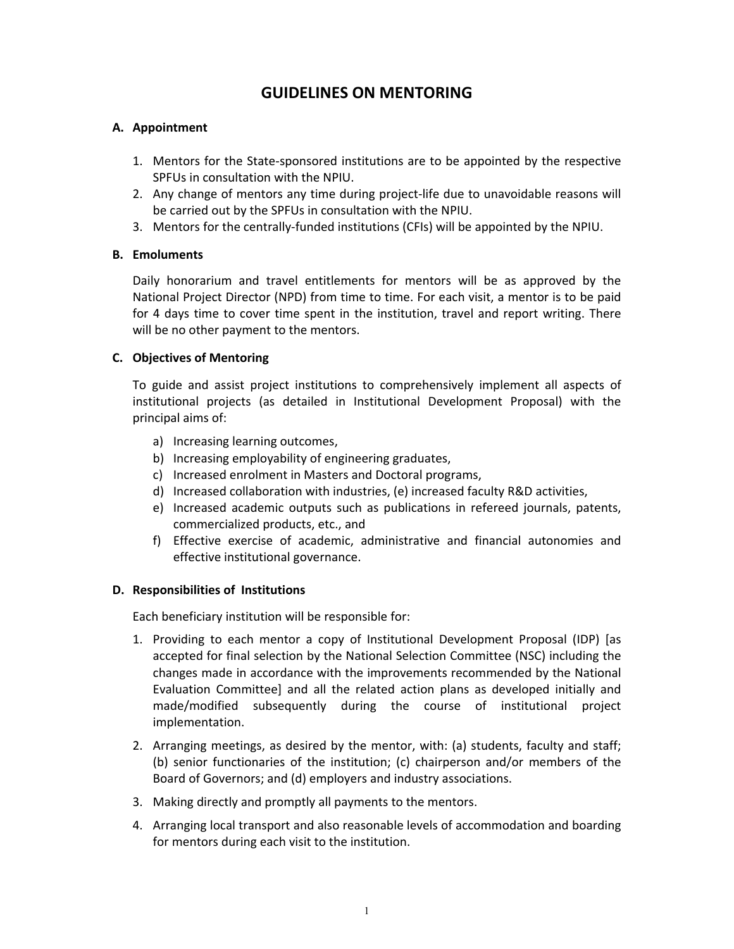# **GUIDELINES ON MENTORING**

# **A. Appointment**

- 1. Mentors for the State‐sponsored institutions are to be appointed by the respective SPFUs in consultation with the NPIU.
- 2. Any change of mentors any time during project-life due to unavoidable reasons will be carried out by the SPFUs in consultation with the NPIU.
- 3. Mentors for the centrally‐funded institutions (CFIs) will be appointed by the NPIU.

## **B. Emoluments**

Daily honorarium and travel entitlements for mentors will be as approved by the National Project Director (NPD) from time to time. For each visit, a mentor is to be paid for 4 days time to cover time spent in the institution, travel and report writing. There will be no other payment to the mentors.

## **C. Objectives of Mentoring**

To guide and assist project institutions to comprehensively implement all aspects of institutional projects (as detailed in Institutional Development Proposal) with the principal aims of:

- a) Increasing learning outcomes,
- b) Increasing employability of engineering graduates,
- c) Increased enrolment in Masters and Doctoral programs,
- d) Increased collaboration with industries, (e) increased faculty R&D activities,
- e) Increased academic outputs such as publications in refereed journals, patents, commercialized products, etc., and
- f) Effective exercise of academic, administrative and financial autonomies and effective institutional governance.

### **D. Responsibilities of Institutions**

Each beneficiary institution will be responsible for:

- 1. Providing to each mentor a copy of Institutional Development Proposal (IDP) [as accepted for final selection by the National Selection Committee (NSC) including the changes made in accordance with the improvements recommended by the National Evaluation Committee] and all the related action plans as developed initially and made/modified subsequently during the course of institutional project implementation.
- 2. Arranging meetings, as desired by the mentor, with: (a) students, faculty and staff; (b) senior functionaries of the institution; (c) chairperson and/or members of the Board of Governors; and (d) employers and industry associations.
- 3. Making directly and promptly all payments to the mentors.
- 4. Arranging local transport and also reasonable levels of accommodation and boarding for mentors during each visit to the institution.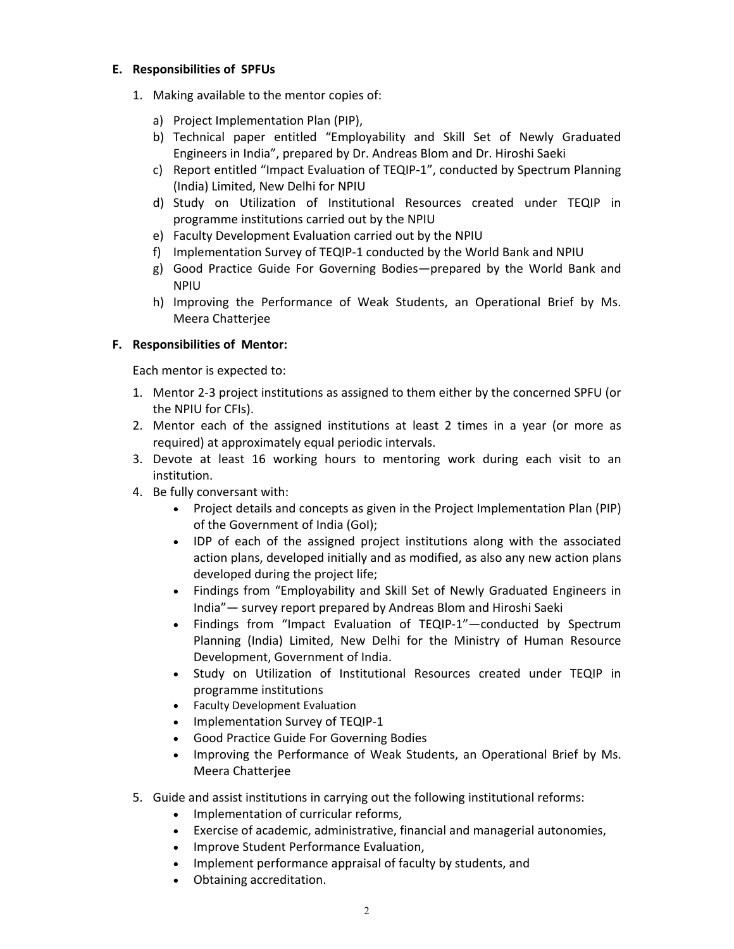## **E. Responsibilities of SPFUs**

- 1. Making available to the mentor copies of:
	- a) Project Implementation Plan (PIP),
	- b) Technical paper entitled "Employability and Skill Set of Newly Graduated Engineers in India", prepared by Dr. Andreas Blom and Dr. Hiroshi Saeki
	- c) Report entitled "Impact Evaluation of TEQIP‐1", conducted by Spectrum Planning (India) Limited, New Delhi for NPIU
	- d) Study on Utilization of Institutional Resources created under TEQIP in programme institutions carried out by the NPIU
	- e) Faculty Development Evaluation carried out by the NPIU
	- f) Implementation Survey of TEQIP‐1 conducted by the World Bank and NPIU
	- g) Good Practice Guide For Governing Bodies—prepared by the World Bank and NPIU
	- h) Improving the Performance of Weak Students, an Operational Brief by Ms. Meera Chatterjee

# **F. Responsibilities of Mentor:**

Each mentor is expected to:

- 1. Mentor 2‐3 project institutions as assigned to them either by the concerned SPFU (or the NPIU for CFIs).
- 2. Mentor each of the assigned institutions at least 2 times in a year (or more as required) at approximately equal periodic intervals.
- 3. Devote at least 16 working hours to mentoring work during each visit to an institution.
- 4. Be fully conversant with:
	- Project details and concepts as given in the Project Implementation Plan (PIP) of the Government of India (GoI);
	- IDP of each of the assigned project institutions along with the associated action plans, developed initially and as modified, as also any new action plans developed during the project life;
	- Findings from "Employability and Skill Set of Newly Graduated Engineers in India"— survey report prepared by Andreas Blom and Hiroshi Saeki
	- Findings from "Impact Evaluation of TEQIP-1"-conducted by Spectrum Planning (India) Limited, New Delhi for the Ministry of Human Resource Development, Government of India.
	- Study on Utilization of Institutional Resources created under TEQIP in programme institutions
	- Faculty Development Evaluation
	- Implementation Survey of TEQIP-1
	- Good Practice Guide For Governing Bodies
	- Improving the Performance of Weak Students, an Operational Brief by Ms. Meera Chatterjee
- 5. Guide and assist institutions in carrying out the following institutional reforms:
	- Implementation of curricular reforms,
	- Exercise of academic, administrative, financial and managerial autonomies,
	- Improve Student Performance Evaluation,
	- Implement performance appraisal of faculty by students, and
	- Obtaining accreditation.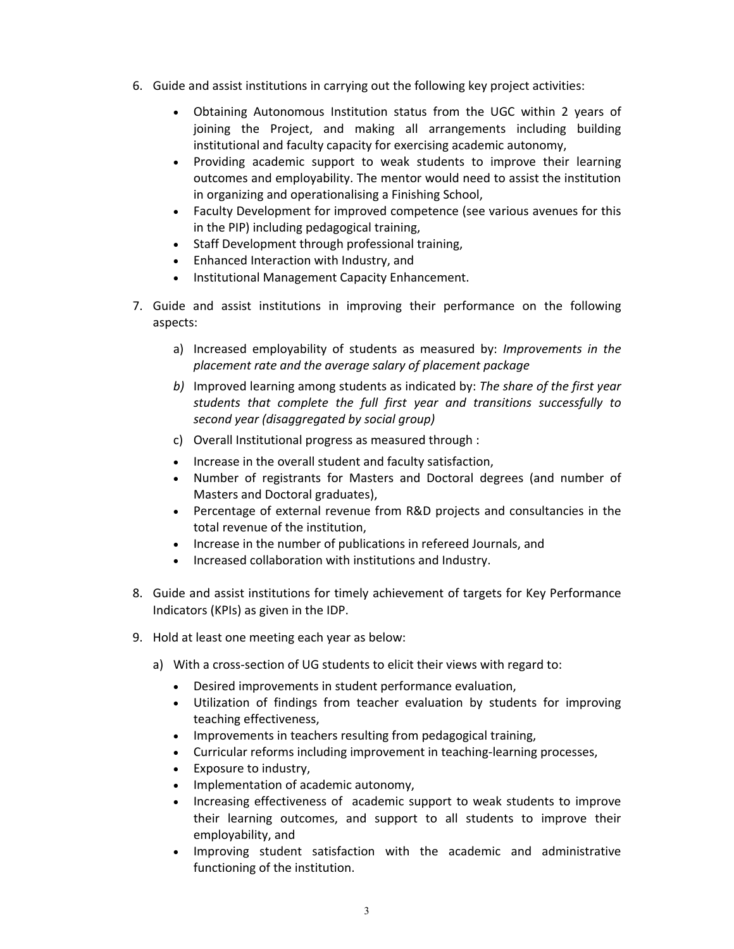- 6. Guide and assist institutions in carrying out the following key project activities:
	- Obtaining Autonomous Institution status from the UGC within 2 years of joining the Project, and making all arrangements including building institutional and faculty capacity for exercising academic autonomy,
	- Providing academic support to weak students to improve their learning outcomes and employability. The mentor would need to assist the institution in organizing and operationalising a Finishing School,
	- Faculty Development for improved competence (see various avenues for this in the PIP) including pedagogical training,
	- Staff Development through professional training,
	- Enhanced Interaction with Industry, and
	- Institutional Management Capacity Enhancement.
- 7. Guide and assist institutions in improving their performance on the following aspects:
	- a) Increased employability of students as measured by: *Improvements in the placement rate and the average salary of placement package*
	- *b)* Improved learning among students as indicated by: *The share of the first year students that complete the full first year and transitions successfully to second year (disaggregated by social group)*
	- c) Overall Institutional progress as measured through :
	- Increase in the overall student and faculty satisfaction,
	- Number of registrants for Masters and Doctoral degrees (and number of Masters and Doctoral graduates),
	- Percentage of external revenue from R&D projects and consultancies in the total revenue of the institution,
	- Increase in the number of publications in refereed Journals, and
	- Increased collaboration with institutions and Industry.
- 8. Guide and assist institutions for timely achievement of targets for Key Performance Indicators (KPIs) as given in the IDP.
- 9. Hold at least one meeting each year as below:
	- a) With a cross-section of UG students to elicit their views with regard to:
		- Desired improvements in student performance evaluation,
		- Utilization of findings from teacher evaluation by students for improving teaching effectiveness,
		- Improvements in teachers resulting from pedagogical training,
		- Curricular reforms including improvement in teaching-learning processes,
		- Exposure to industry,
		- Implementation of academic autonomy,
		- Increasing effectiveness of academic support to weak students to improve their learning outcomes, and support to all students to improve their employability, and
		- Improving student satisfaction with the academic and administrative functioning of the institution.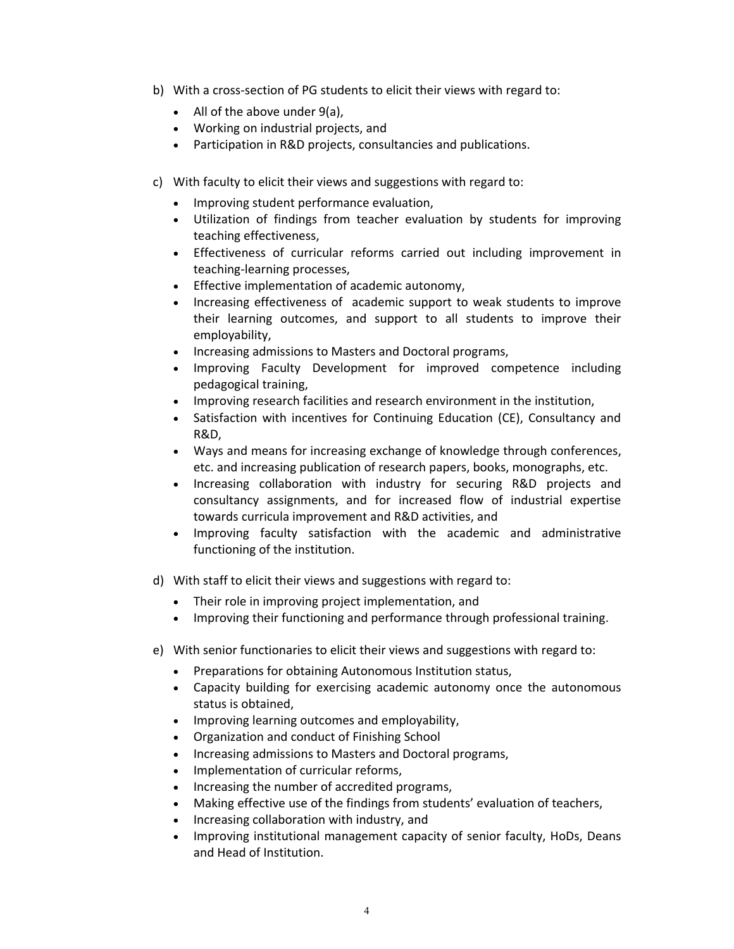- b) With a cross-section of PG students to elicit their views with regard to:
	- All of the above under 9(a),
	- Working on industrial projects, and
	- Participation in R&D projects, consultancies and publications.
- c) With faculty to elicit their views and suggestions with regard to:
	- Improving student performance evaluation,
	- Utilization of findings from teacher evaluation by students for improving teaching effectiveness,
	- Effectiveness of curricular reforms carried out including improvement in teaching‐learning processes,
	- Effective implementation of academic autonomy,
	- Increasing effectiveness of academic support to weak students to improve their learning outcomes, and support to all students to improve their employability,
	- Increasing admissions to Masters and Doctoral programs,
	- Improving Faculty Development for improved competence including pedagogical training,
	- Improving research facilities and research environment in the institution,
	- Satisfaction with incentives for Continuing Education (CE), Consultancy and R&D,
	- Ways and means for increasing exchange of knowledge through conferences, etc. and increasing publication of research papers, books, monographs, etc.
	- Increasing collaboration with industry for securing R&D projects and consultancy assignments, and for increased flow of industrial expertise towards curricula improvement and R&D activities, and
	- Improving faculty satisfaction with the academic and administrative functioning of the institution.
- d) With staff to elicit their views and suggestions with regard to:
	- Their role in improving project implementation, and
	- Improving their functioning and performance through professional training.
- e) With senior functionaries to elicit their views and suggestions with regard to:
	- Preparations for obtaining Autonomous Institution status,
	- Capacity building for exercising academic autonomy once the autonomous status is obtained,
	- Improving learning outcomes and employability,
	- Organization and conduct of Finishing School
	- Increasing admissions to Masters and Doctoral programs,
	- Implementation of curricular reforms,
	- Increasing the number of accredited programs,
	- Making effective use of the findings from students' evaluation of teachers,
	- Increasing collaboration with industry, and
	- Improving institutional management capacity of senior faculty, HoDs, Deans and Head of Institution.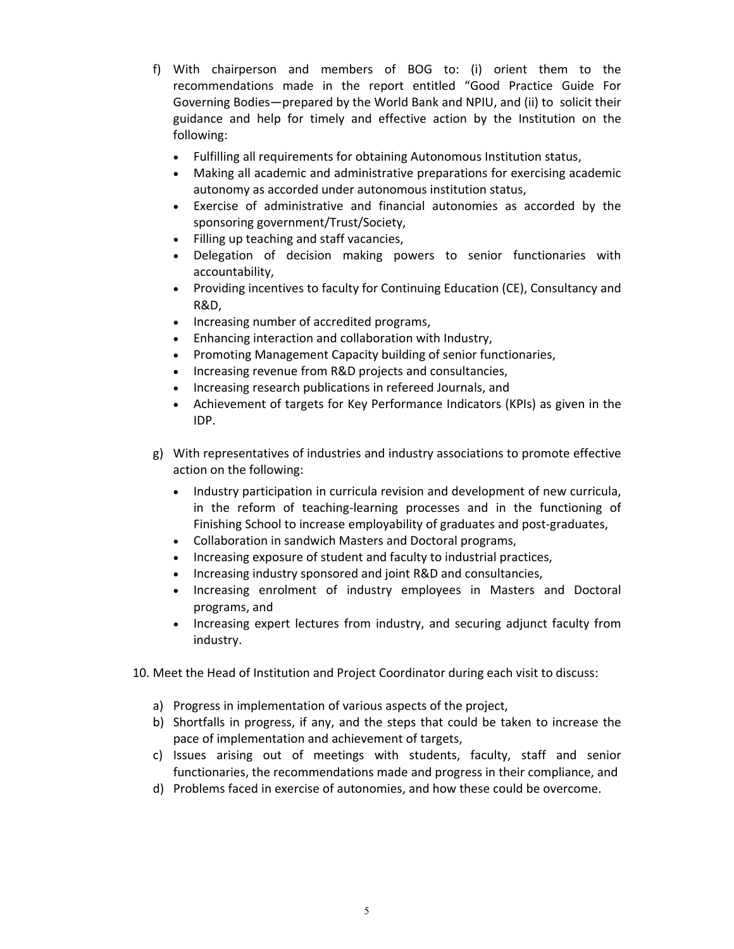- f) With chairperson and members of BOG to: (i) orient them to the recommendations made in the report entitled "Good Practice Guide For Governing Bodies—prepared by the World Bank and NPIU, and (ii) to solicit their guidance and help for timely and effective action by the Institution on the following:
	- Fulfilling all requirements for obtaining Autonomous Institution status,
	- Making all academic and administrative preparations for exercising academic autonomy as accorded under autonomous institution status,
	- Exercise of administrative and financial autonomies as accorded by the sponsoring government/Trust/Society,
	- Filling up teaching and staff vacancies,
	- Delegation of decision making powers to senior functionaries with accountability,
	- Providing incentives to faculty for Continuing Education (CE), Consultancy and R&D,
	- Increasing number of accredited programs,
	- Enhancing interaction and collaboration with Industry,
	- Promoting Management Capacity building of senior functionaries,
	- Increasing revenue from R&D projects and consultancies,
	- Increasing research publications in refereed Journals, and
	- Achievement of targets for Key Performance Indicators (KPIs) as given in the IDP.
- g) With representatives of industries and industry associations to promote effective action on the following:
	- Industry participation in curricula revision and development of new curricula, in the reform of teaching‐learning processes and in the functioning of Finishing School to increase employability of graduates and post‐graduates,
	- Collaboration in sandwich Masters and Doctoral programs,
	- Increasing exposure of student and faculty to industrial practices,
	- Increasing industry sponsored and joint R&D and consultancies,
	- Increasing enrolment of industry employees in Masters and Doctoral programs, and
	- Increasing expert lectures from industry, and securing adjunct faculty from industry.
- 10. Meet the Head of Institution and Project Coordinator during each visit to discuss:
	- a) Progress in implementation of various aspects of the project,
	- b) Shortfalls in progress, if any, and the steps that could be taken to increase the pace of implementation and achievement of targets,
	- c) Issues arising out of meetings with students, faculty, staff and senior functionaries, the recommendations made and progress in their compliance, and
	- d) Problems faced in exercise of autonomies, and how these could be overcome.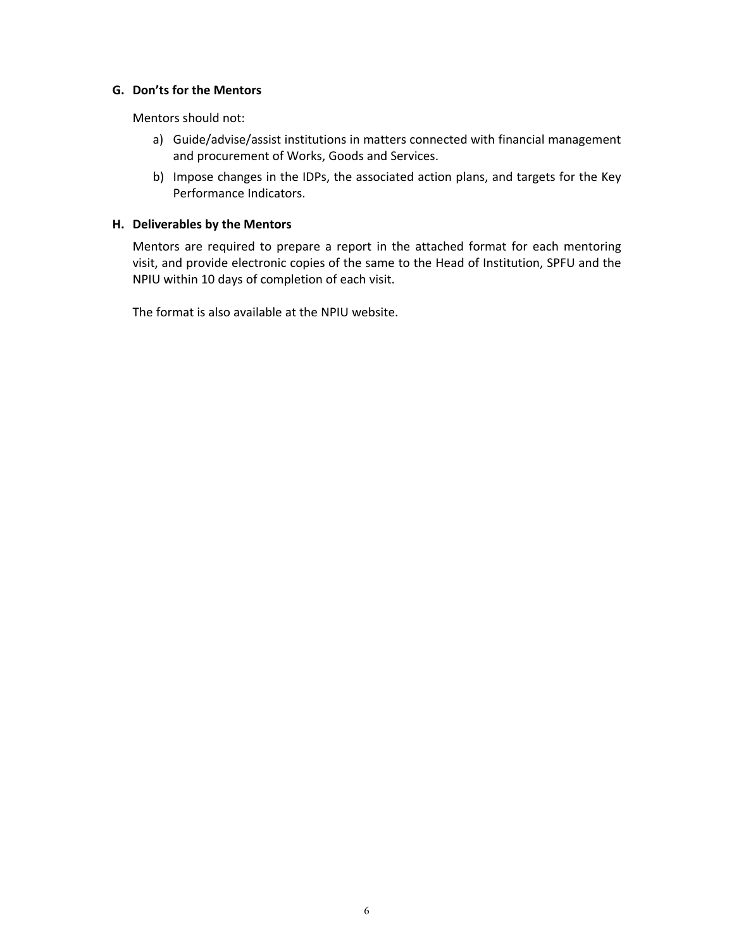### **G. Don'ts for the Mentors**

Mentors should not:

- a) Guide/advise/assist institutions in matters connected with financial management and procurement of Works, Goods and Services.
- b) Impose changes in the IDPs, the associated action plans, and targets for the Key Performance Indicators.

### **H. Deliverables by the Mentors**

Mentors are required to prepare a report in the attached format for each mentoring visit, and provide electronic copies of the same to the Head of Institution, SPFU and the NPIU within 10 days of completion of each visit.

The format is also available at the NPIU website.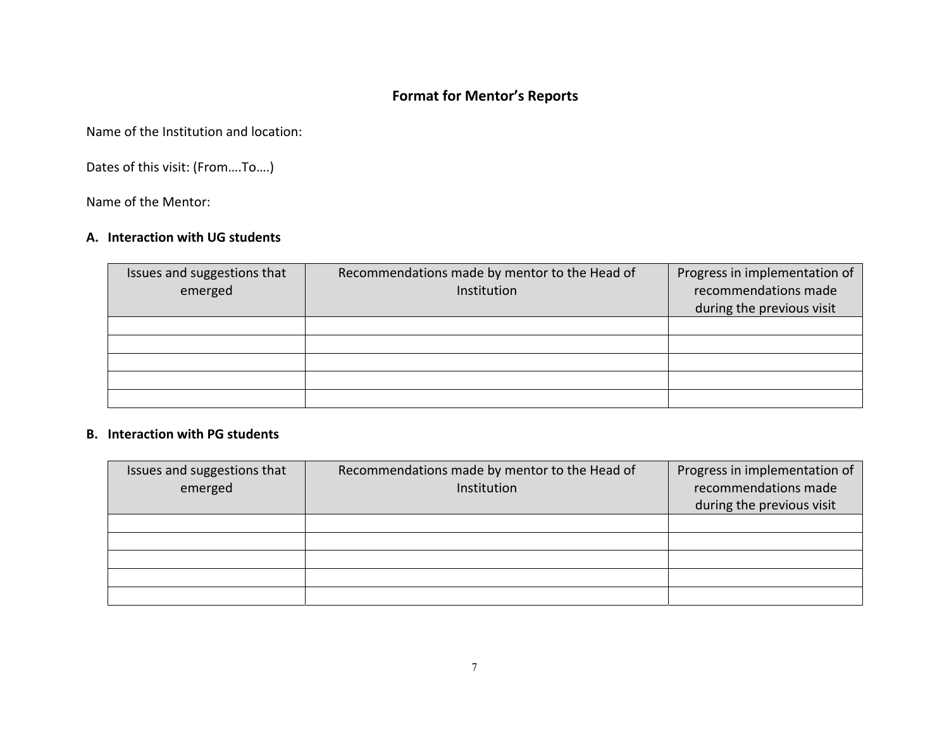# **Format for Mentor's Reports**

Name of the Institution and location:

Dates of this visit: (From….To….)

Name of the Mentor:

### **A. Interaction with UG students**

| Issues and suggestions that | Recommendations made by mentor to the Head of | Progress in implementation of |
|-----------------------------|-----------------------------------------------|-------------------------------|
| emerged                     | Institution                                   | recommendations made          |
|                             |                                               | during the previous visit     |
|                             |                                               |                               |
|                             |                                               |                               |
|                             |                                               |                               |
|                             |                                               |                               |
|                             |                                               |                               |

### **B. Interaction with PG students**

| Issues and suggestions that<br>emerged | Recommendations made by mentor to the Head of<br>Institution | Progress in implementation of<br>recommendations made<br>during the previous visit |
|----------------------------------------|--------------------------------------------------------------|------------------------------------------------------------------------------------|
|                                        |                                                              |                                                                                    |
|                                        |                                                              |                                                                                    |
|                                        |                                                              |                                                                                    |
|                                        |                                                              |                                                                                    |
|                                        |                                                              |                                                                                    |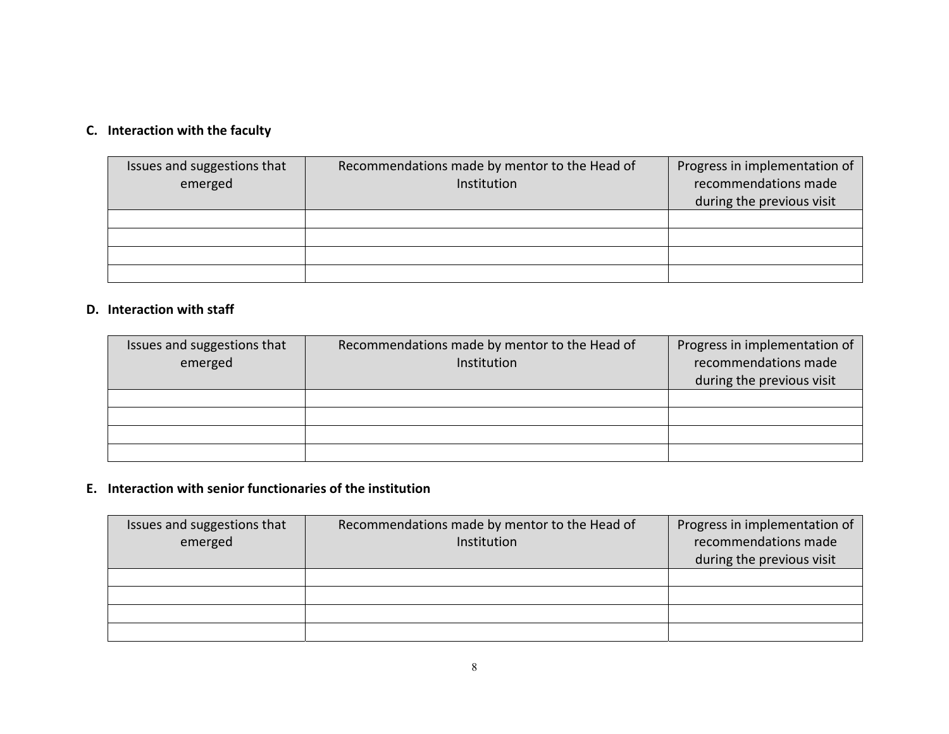### **C. Interaction with the faculty**

| Issues and suggestions that<br>emerged | Recommendations made by mentor to the Head of<br>Institution | Progress in implementation of<br>recommendations made<br>during the previous visit |
|----------------------------------------|--------------------------------------------------------------|------------------------------------------------------------------------------------|
|                                        |                                                              |                                                                                    |
|                                        |                                                              |                                                                                    |
|                                        |                                                              |                                                                                    |
|                                        |                                                              |                                                                                    |

### **D. Interaction with staff**

| Issues and suggestions that<br>emerged | Recommendations made by mentor to the Head of<br>Institution | Progress in implementation of<br>recommendations made<br>during the previous visit |
|----------------------------------------|--------------------------------------------------------------|------------------------------------------------------------------------------------|
|                                        |                                                              |                                                                                    |
|                                        |                                                              |                                                                                    |
|                                        |                                                              |                                                                                    |
|                                        |                                                              |                                                                                    |

### **E. Interaction with senior functionaries of the institution**

| Issues and suggestions that | Recommendations made by mentor to the Head of | Progress in implementation of |
|-----------------------------|-----------------------------------------------|-------------------------------|
| emerged                     | Institution                                   | recommendations made          |
|                             |                                               | during the previous visit     |
|                             |                                               |                               |
|                             |                                               |                               |
|                             |                                               |                               |
|                             |                                               |                               |